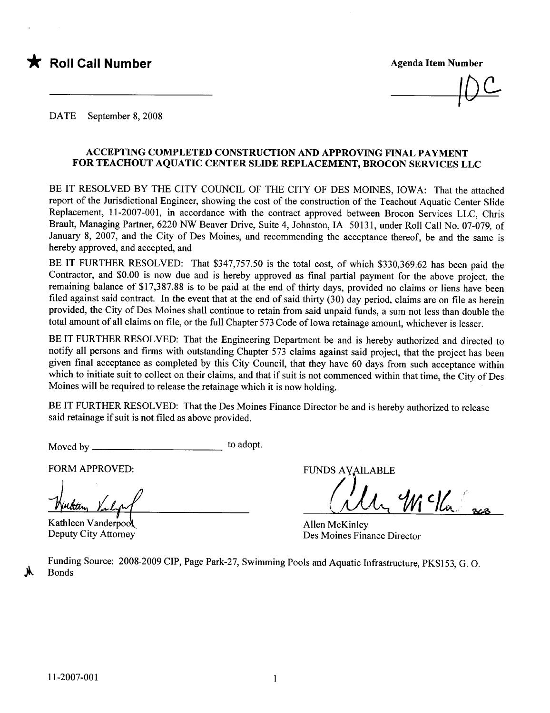

 $\overline{1}$ 

DATE September 8, 2008

#### ACCEPTING COMPLETED CONSTRUCTION AND APPROVIG FINAL PAYMENT FOR TEACHOUT AQUATIC CENTER SLIDE REPLACEMENT, BROCON SERVICES LLC

BE IT RESOLVED BY THE CITY COUNCIL OF THE CITY OF DES MOINES, IOWA: That the attached report of the Jurisdictional Engineer, showing the cost of the construction of the Teachout Aquatic Center Slide Replacement, 11-2007-001, in accordance with the contract approved between Brocon Services LLC, Chris Brault, Managing Partner, 6220 NW Beaver Drive, Suite 4, Johnston, IA 50131, under Roll Call No. 07-079, of January 8, 2007, and the City of Des Moines, and recommending the acceptance thereof, be and the same is hereby approved, and accepted, and

BE IT FURTHER RESOLVED: That \$347,757.50 is the total cost, of which \$330,369.62 has been paid the Contractor, and \$0.00 is now due and is hereby approved as final partial payment for the above project, the remaining balance of \$17,387.88 is to be paid at the end of thirty days, provided no claims or liens have been filed against said contract. In the event that at the end of said thirty  $(30)$  day period, claims are on file as herein provided, the City of Des Moines shall continue to retain from said unpaid funds, a sum not less than double the total amount of all claims on file, or the full Chapter 573 Code of Iowa retainage amount, whichever is lesser.

BE IT FURTHER RESOLVED: That the Engineering Department be and is hereby authorized and directed to notify all persons and firms with outstanding Chapter 573 claims against said project, that the project has been given final acceptance as completed by this City Council, that they have 60 days from such acceptance within which to initiate suit to collect on their claims, and that if suit is not commenced within that time, the City of Des Moines will be required to release the retainage which it is now holding.

BE IT FURTHER RESOLVED: That the Des Moines Finance Director be and is hereby authorized to release said retainage if suit is not fied as above provided.

Moved by to adopt.

FORM APPROVED: FUNDS AVAILABLE

Kathleen Vanderpool Deputy City Attorney

 $\mathcal{U}(\mathcal{U})$ 

Allen McKinley Des Moines Finance Director

Funding Source: 2008-2009 CIP, Page Park-27, Swimming Pools and Aquatic Infrastructure, PKS153, G. o. Bonds

 $\frac{1}{2}$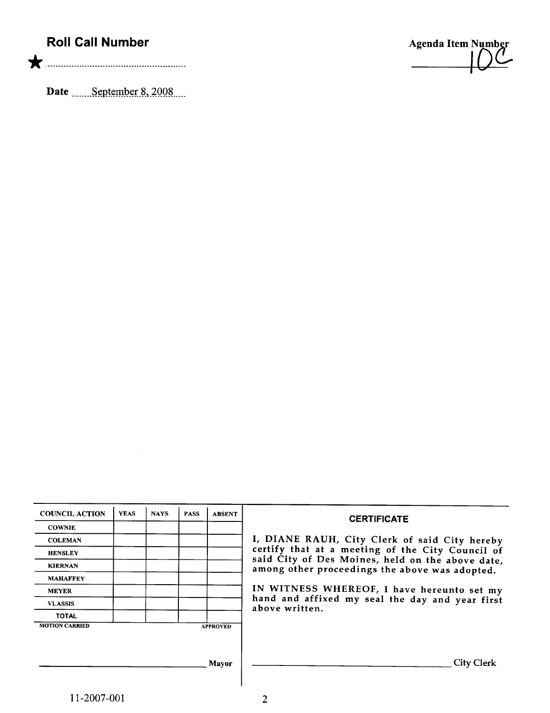## Roll Call Number

\* '..00 nnnnn\_nnn\_\_\_\_n\_.................n..n..

Date \_\_\_\_\_September 8, 2008

Agenda Item Number  $\overline{1}$ 

| <b>COUNCIL ACTION</b> | <b>YEAS</b> | <b>NAYS</b> | <b>PASS</b> | <b>ABSENT</b>   | <b>CERTIFICATE</b>                                                                                 |
|-----------------------|-------------|-------------|-------------|-----------------|----------------------------------------------------------------------------------------------------|
| <b>COWNIE</b>         |             |             |             |                 |                                                                                                    |
| <b>COLEMAN</b>        |             |             |             |                 | I, DIANE RAUH, City Clerk of said City hereby                                                      |
| <b>HENSLEY</b>        |             |             |             |                 | certify that at a meeting of the City Council of                                                   |
| <b>KIERNAN</b>        |             |             |             |                 | said City of Des Moines, held on the above date,<br>among other proceedings the above was adopted. |
| <b>MAHAFFEY</b>       |             |             |             |                 |                                                                                                    |
| <b>MEYER</b>          |             |             |             |                 | IN WITNESS WHEREOF, I have hereunto set my                                                         |
| <b>VLASSIS</b>        |             |             |             |                 | hand and affixed my seal the day and year first<br>above written.                                  |
| <b>TOTAL</b>          |             |             |             |                 |                                                                                                    |
| <b>MOTION CARRIED</b> |             |             |             | <b>APPROVED</b> |                                                                                                    |
|                       |             |             |             |                 |                                                                                                    |
|                       |             |             |             |                 |                                                                                                    |
|                       |             |             |             | Mavor           | <b>City Clerk</b>                                                                                  |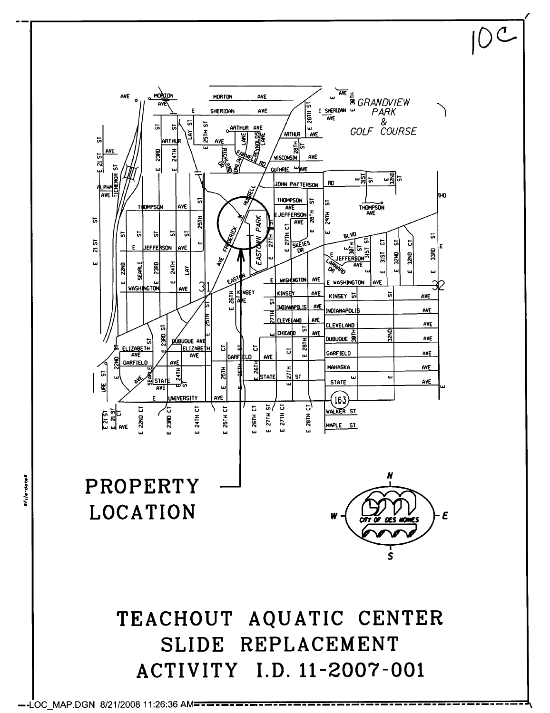

 $-$ -LOC MAP.DGN 8/21/2008 11:26:36 AM==

Vile-dete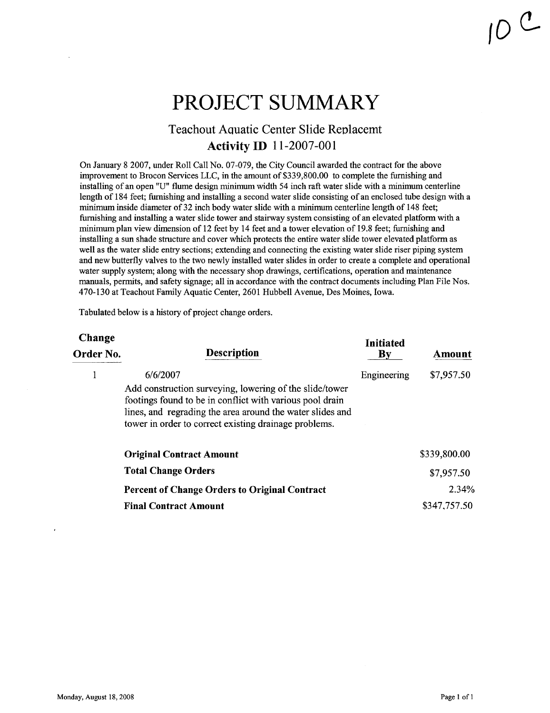# PROJECT SUMMARY

### Teachout Aquatic Center Slide Replacemt **Activity ID** 11-2007-001

On January 82007, under Roll Call No. 07-079, the City Council awarded the contract for the above imrovement to Brocon Services LLC, in the amount of \$339,800.00 to complete the furnishing and installing of an open "U" flume design minimum width 54 inch raft water slide with a minimum centerline length of 184 feet; furnishing and installing a second water slide consisting of an enclosed tube design with a minimum inside diameter of 32 inch body water slide with a minimum centerline length of 148 feet; furnishing and installing a water slide tower and stairway system consisting of an elevated platform with a minimum plan view dimension of 12 feet by 14 feet and a tower elevation of 19.8 feet; furnishing and installing a sun shade structure and cover which protects the entire water slide tower elevated platform as well as the water slide entry sections; extending and connecting the existing water slide riser piping system and new butterfly valves to the two newly installed water slides in order to create a complete and operational water supply system; along with the necessary shop drawings, certifications, operation and maintenance manuals, permts, and safety signage; all in accordance with the contract documents including Plan File Nos. 470-130 at Teachout Family Aquatic Center, 2601 Hubbell Avenue, Des Moines, Iowa.

Tabulated below is a history of project change orders.

| Change<br>Order No. | <b>Description</b>                                                                                                                                                                                                                                    | <b>Initiated</b><br>By | Amount       |
|---------------------|-------------------------------------------------------------------------------------------------------------------------------------------------------------------------------------------------------------------------------------------------------|------------------------|--------------|
|                     | 6/6/2007<br>Add construction surveying, lowering of the slide/tower<br>footings found to be in conflict with various pool drain<br>lines, and regrading the area around the water slides and<br>tower in order to correct existing drainage problems. | Engineering            | \$7,957.50   |
|                     | <b>Original Contract Amount</b>                                                                                                                                                                                                                       |                        | \$339,800.00 |
|                     | <b>Total Change Orders</b>                                                                                                                                                                                                                            |                        | \$7,957.50   |
|                     | <b>Percent of Change Orders to Original Contract</b>                                                                                                                                                                                                  |                        | 2.34%        |
|                     | <b>Final Contract Amount</b>                                                                                                                                                                                                                          |                        | \$347,757.50 |
|                     |                                                                                                                                                                                                                                                       |                        |              |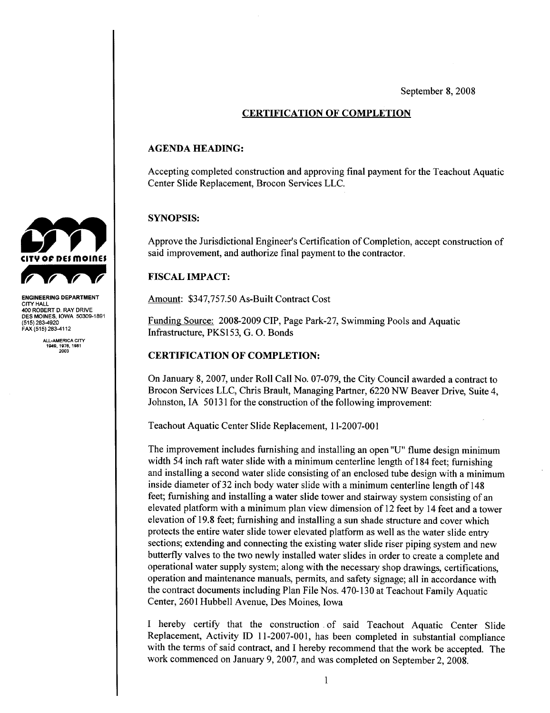September 8, 2008

#### CERTIFICATION OF COMPLETION

#### AGENDA HEADING:

Accepting completed construction and approving final payment for the Teachout Aquatic Center Slide Replacement, Brocon Services LLC.

#### SYNOPSIS:

Approve the Jurisdictional Engineer's Certification of Completion, accept construction of said improvement, and authorize final payment to the contractor.

#### **FISCAL IMPACT:**

Amount: \$347,757.50 As-Built Contract Cost

Funding Source: 2008-2009 CIP, Page Park-27, Swimming Pools and Aquatic Infrastructure, PKS153, G. o. Bonds

#### CERTIFICATION OF COMPLETION:

On January 8, 2007, under Roll Call No. 07-079, the City Council awarded a contract to Brocon Services LLC, Chris Brault, Managing Partner, 6220 NW Beaver Drive, Suite 4, Johnston, IA 50131 for the construction of the following improvement:

Teachout Aquatic Center Slide Replacement, 11-2007-001

The improvement includes furnishing and installing an open "U" flume design minimum width 54 inch raft water slide with a minimum centerline length of 184 feet; furnishing and installing a second water slide consisting of an enclosed tube design with a minimum inside diameter of 32 inch body water slide with a minimum centerline length of 148 feet; furnishing and installing a water slide tower and stairway system consisting of an elevated platform with a minimum plan view dimension of 12 feet by 14 feet and a tower elevation of 19.8 feet; furnishing and installng a sun shade structure and cover which protects the entire water slide tower elevated platform as well as the water slide entry sections; extending and connecting the existing water slide riser piping system and new butterfly valves to the two newly installed water slides in order to create a complete and operational water supply system; along with the necessary shop drawings, certifications, operation and maintenance manuals, permits, and safety signage; all in accordance with the contract documents including Plan File Nos. 470-130 at Teachout Family Aquatic Center, 2601 Hubbell Avenue, Des Moines, Iowa

I hereby certify that the construction of said Teachout Aquatic Center Slide Replacement, Activity ID 11-2007-001, has been completed in substantial compliance with the terms of said contract, and I hereby recommend that the work be accepted. The work commenced on January 9, 2007, and was completed on September 2, 2008.



CITY HALL 400 ROBERT D. RAY DRIVE DES MOINES. IOWA 50309-1891 (515) 283-4920 FAX (515) 283-4112

> ALL-AMERICA CITY 1949. 1978. 1981 2003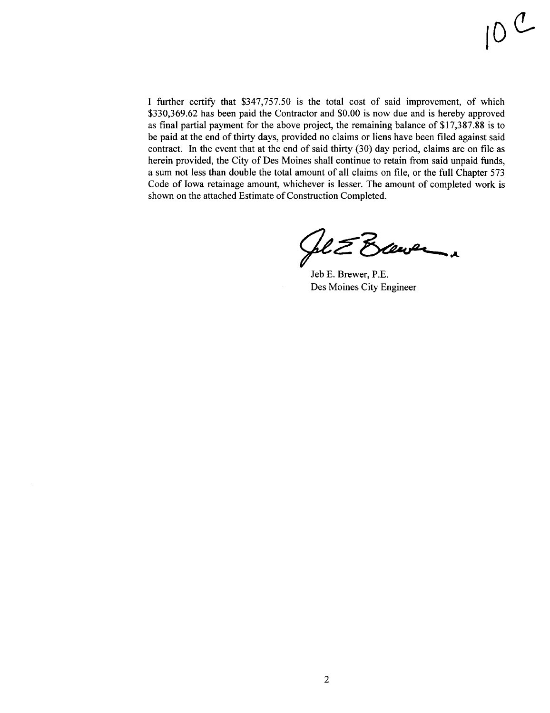I further certify that \$347,757.50 is the total cost of said improvement, of which \$330,369.62 has been paid the Contractor and \$0.00 is now due and is hereby approved as final partial payment for the above project, the remaining balance of \$17,387.88 is to be paid at the end of thirty days, provided no claims or liens have been filed against said contract. In the event that at the end of said thirty  $(30)$  day period, claims are on file as herein provided, the City of Des Moines shall continue to retain from said unpaid funds, a sum not less than double the total amount of all claims on fie, or the full Chapter 573 Code of Iowa retainage amount, whichever is lesser. The amount of completed work is shown on the attached Estimate of Construction Completed.

 $#L\mathcal{Z}$  Exemped a

Jeb E. Brewer, P.E. Des Moines City Engineer